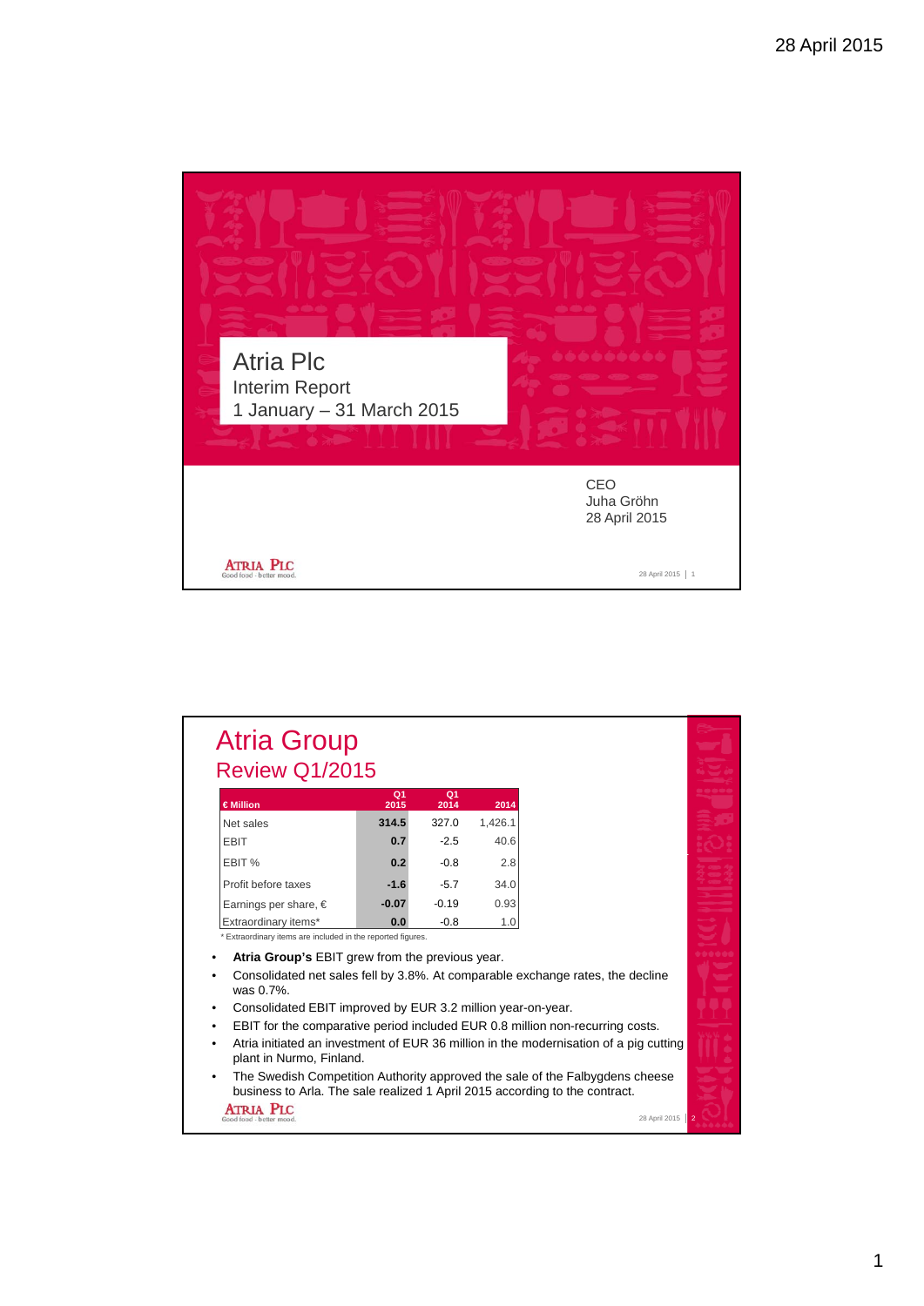

| €Million                                                                                                                                                    | Q <sub>1</sub><br>2015 | Q <sub>1</sub><br>2014 | 2014    |  |
|-------------------------------------------------------------------------------------------------------------------------------------------------------------|------------------------|------------------------|---------|--|
| Net sales                                                                                                                                                   | 314.5                  | 327.0                  | 1.426.1 |  |
| <b>EBIT</b>                                                                                                                                                 | 0.7                    | $-2.5$                 | 40.6    |  |
| EBIT %                                                                                                                                                      | 0.2                    | $-0.8$                 | 2.8     |  |
| Profit before taxes                                                                                                                                         | $-1.6$                 | $-5.7$                 | 34.0    |  |
| Earnings per share, $\in$                                                                                                                                   | $-0.07$                | $-0.19$                | 0.93    |  |
| Extraordinary items*                                                                                                                                        | 0.0                    | $-0.8$                 | 1.0     |  |
| * Extraordinary items are included in the reported figures.                                                                                                 |                        |                        |         |  |
| Atria Group's EBIT grew from the previous year.<br>Consolidated net sales fell by 3.8%. At comparable exchange rates, the decline                           |                        |                        |         |  |
| was 0.7%.                                                                                                                                                   |                        |                        |         |  |
| Consolidated EBIT improved by EUR 3.2 million year-on-year.                                                                                                 |                        |                        |         |  |
| EBIT for the comparative period included EUR 0.8 million non-recurring costs.                                                                               |                        |                        |         |  |
| Atria initiated an investment of EUR 36 million in the modernisation of a pig cutting<br>plant in Nurmo, Finland.                                           |                        |                        |         |  |
| The Swedish Competition Authority approved the sale of the Falbygdens cheese<br>business to Arla. The sale realized 1 April 2015 according to the contract. |                        |                        |         |  |
| <b>ATRIA PIC</b>                                                                                                                                            |                        |                        |         |  |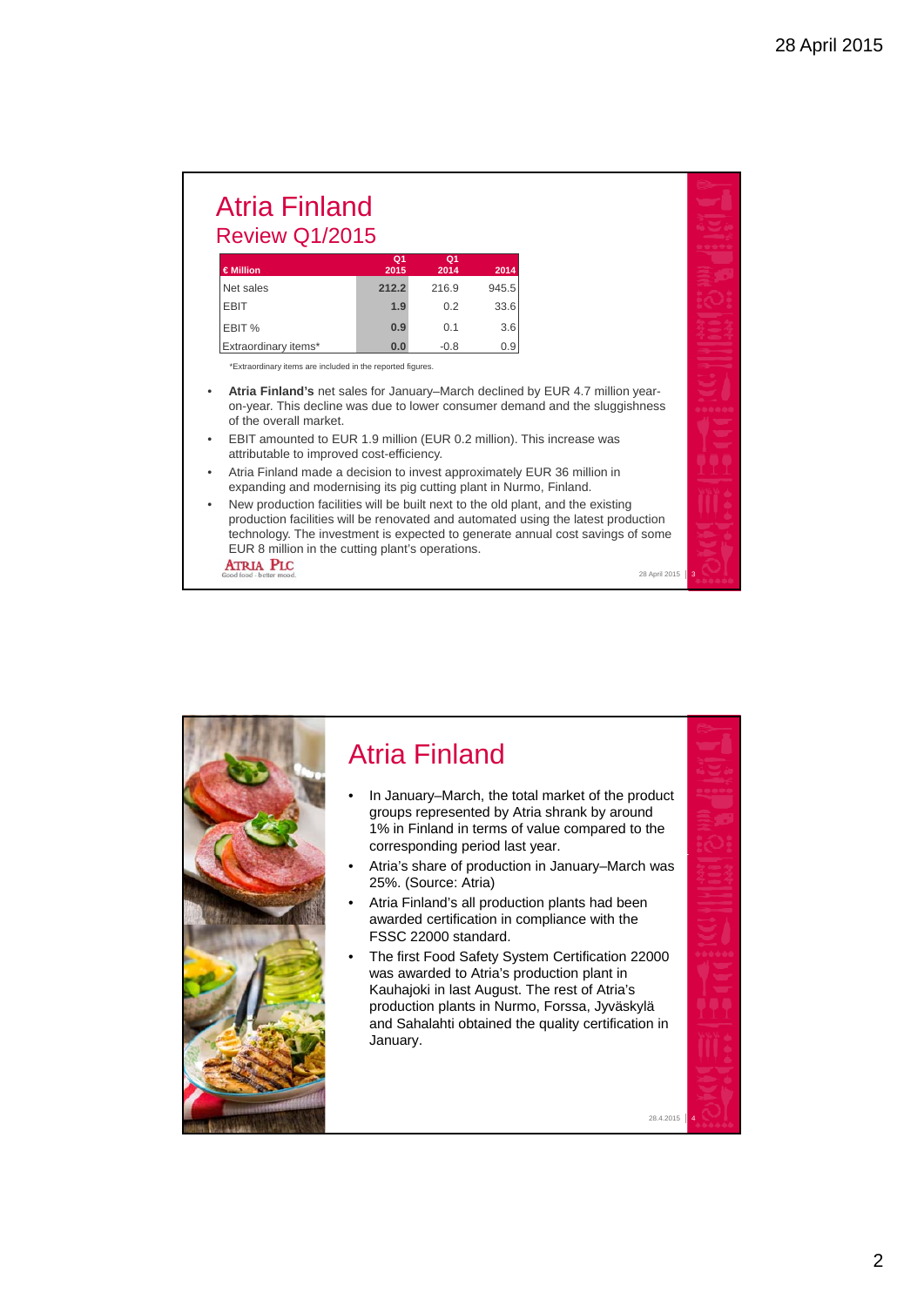### Atria Finland Review Q1/2015

| €Million             | Q <sub>1</sub> | Q <sub>1</sub> |       |
|----------------------|----------------|----------------|-------|
|                      | 2015           | 2014           | 2014  |
| Net sales            | 212.2          | 216.9          | 945.5 |
| <b>EBIT</b>          | 1.9            | 0.2            | 33.6  |
| EBIT %               | 0.9            | 0.1            | 3.6   |
| Extraordinary items* | 0.0            | $-0.8$         | 0.9   |

\*Extraordinary items are included in the reported figures.

- **Atria Finland's** net sales for January–March declined by EUR 4.7 million yearon-year. This decline was due to lower consumer demand and the sluggishness of the overall market.
- EBIT amounted to EUR 1.9 million (EUR 0.2 million). This increase was attributable to improved cost-efficiency.
- Atria Finland made a decision to invest approximately EUR 36 million in expanding and modernising its pig cutting plant in Nurmo, Finland.
- New production facilities will be built next to the old plant, and the existing production facilities will be renovated and automated using the latest production technology. The investment is expected to generate annual cost savings of some EUR 8 million in the cutting plant's operations. **ATRIA PLC**

28 April 2015 **3** 

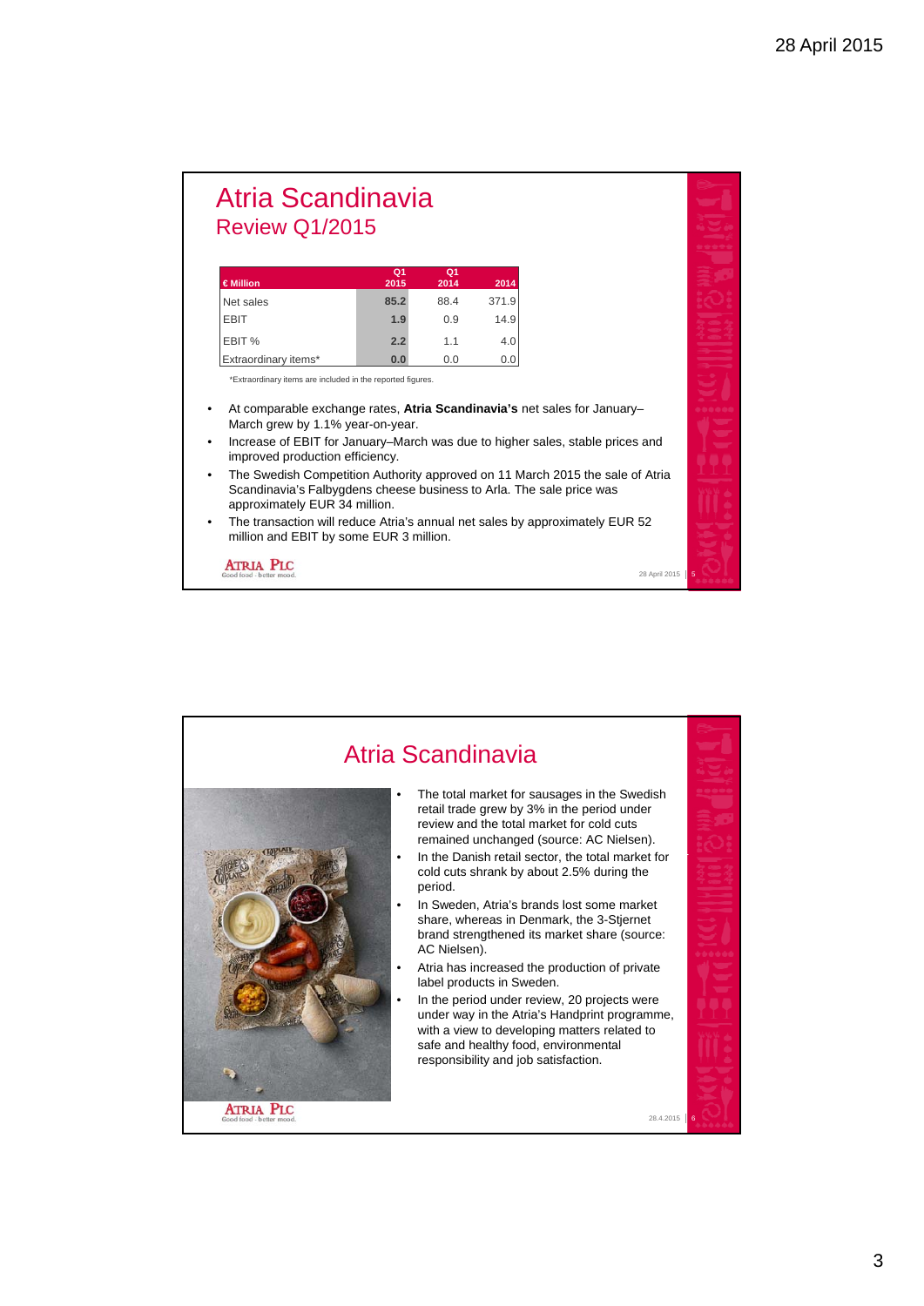#### Atria Scandinavia Review Q1/2015

| €Million             | Q1<br>2015 | Q1<br>2014 | 2014  |
|----------------------|------------|------------|-------|
| Net sales            | 85.2       | 88.4       | 371.9 |
| <b>EBIT</b>          | 1.9        | 0.9        | 14.9  |
| EBIT %               | 2.2        | 1.1        | 4.0   |
| Extraordinary items* | 0.0        | 0.0        | 0.0   |

\*Extraordinary items are included in the reported figures.

- At comparable exchange rates, **Atria Scandinavia's** net sales for January– March grew by 1.1% year-on-year.
- Increase of EBIT for January–March was due to higher sales, stable prices and improved production efficiency.
- The Swedish Competition Authority approved on 11 March 2015 the sale of Atria Scandinavia's Falbygdens cheese business to Arla. The sale price was approximately EUR 34 million.

28 April 2015

• The transaction will reduce Atria's annual net sales by approximately EUR 52 million and EBIT by some EUR 3 million.

**ATRIA PLC** 

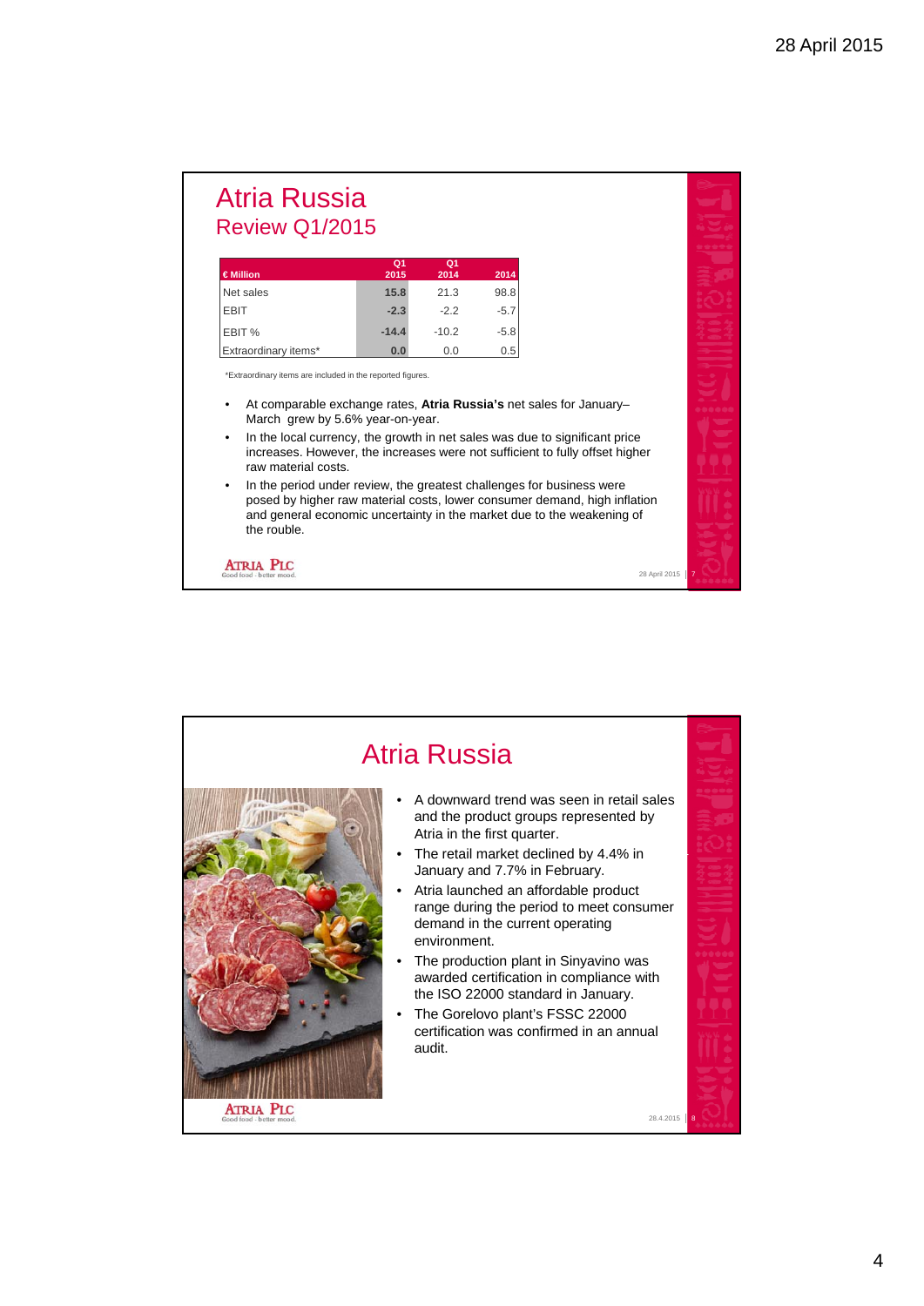### Atria Russia Review Q1/2015

| €Million             | Q1<br>2015 | Q1<br>2014 | 2014   |
|----------------------|------------|------------|--------|
| Net sales            | 15.8       | 21.3       | 98.8   |
| <b>EBIT</b>          | $-2.3$     | $-2.2$     | $-5.7$ |
| EBIT %               | $-14.4$    | $-10.2$    | $-5.8$ |
| Extraordinary items* | 0.0        | 0.0        | 0.5    |

\*Extraordinary items are included in the reported figures.

- At comparable exchange rates, **Atria Russia's** net sales for January– March grew by 5.6% year-on-year.
- In the local currency, the growth in net sales was due to significant price increases. However, the increases were not sufficient to fully offset higher raw material costs.
- In the period under review, the greatest challenges for business were posed by higher raw material costs, lower consumer demand, high inflation and general economic uncertainty in the market due to the weakening of the rouble.

28 April 2015 7

**ATRIA PLC** 

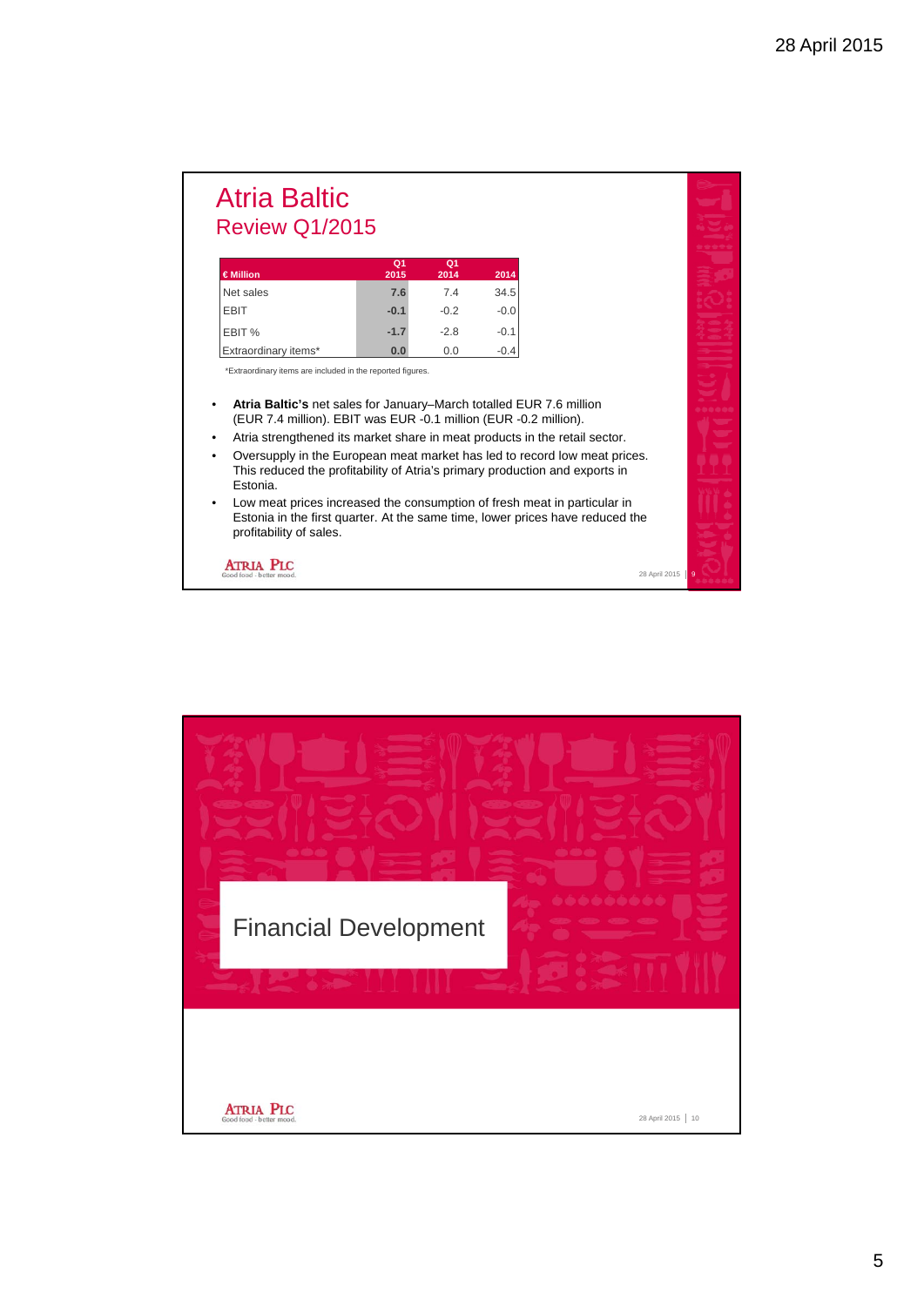### Atria Baltic Review Q1/2015

| €Million             | Q1<br>2015 | О1<br>2014 | 2014   |
|----------------------|------------|------------|--------|
| Net sales            | 7.6        | 7.4        | 34.5   |
| <b>EBIT</b>          | $-0.1$     | $-0.2$     | $-0.0$ |
| EBIT %               | $-1.7$     | $-2.8$     | $-0.1$ |
| Extraordinary items* | 0.0        | 0.0        | $-0.4$ |

\*Extraordinary items are included in the reported figures.

- **Atria Baltic's** net sales for January–March totalled EUR 7.6 million (EUR 7.4 million). EBIT was EUR -0.1 million (EUR -0.2 million).
- Atria strengthened its market share in meat products in the retail sector.
- Oversupply in the European meat market has led to record low meat prices. This reduced the profitability of Atria's primary production and exports in Estonia.
- Low meat prices increased the consumption of fresh meat in particular in Estonia in the first quarter. At the same time, lower prices have reduced the profitability of sales.

28 April 2015

**ATRIA PLC** 

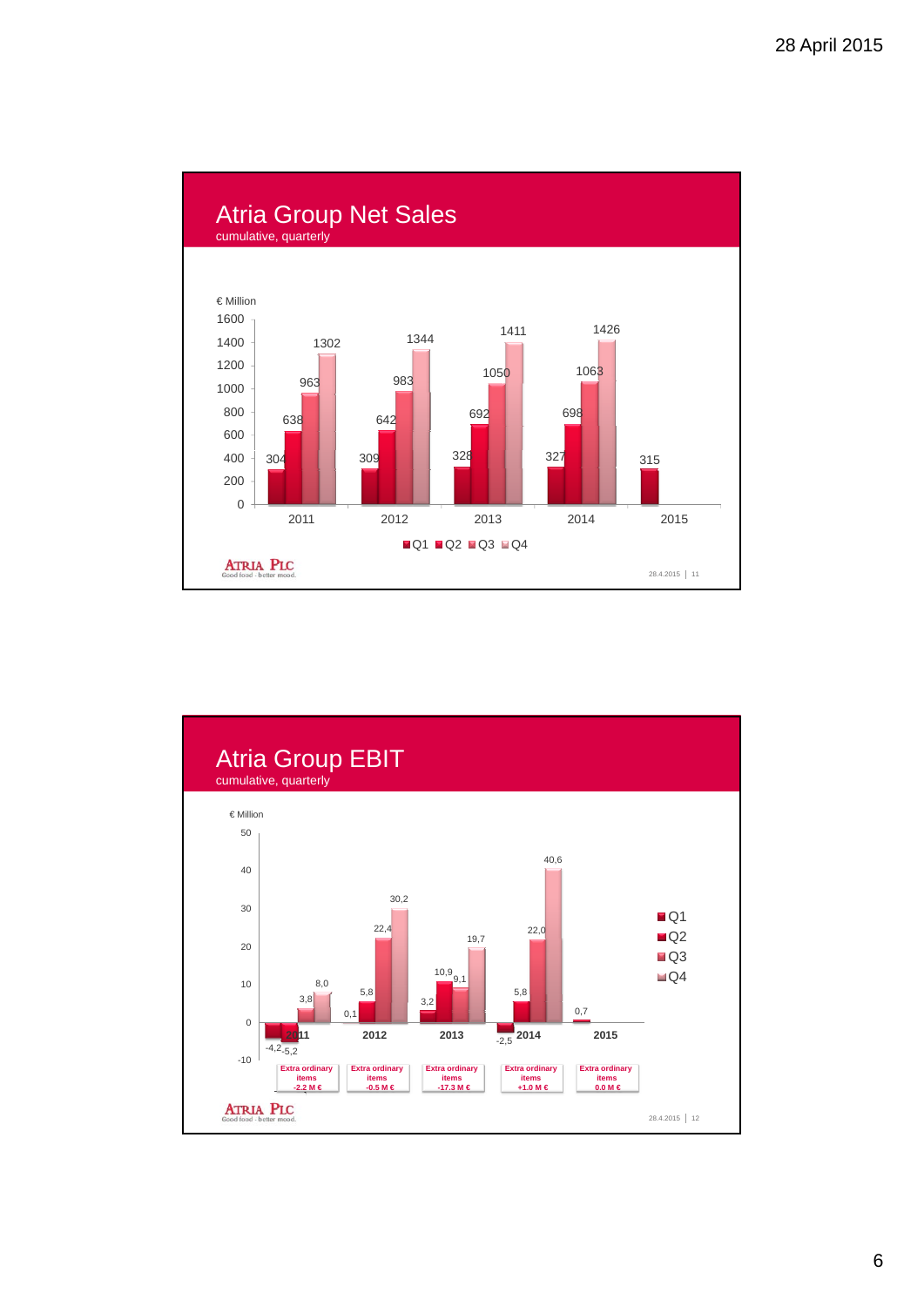

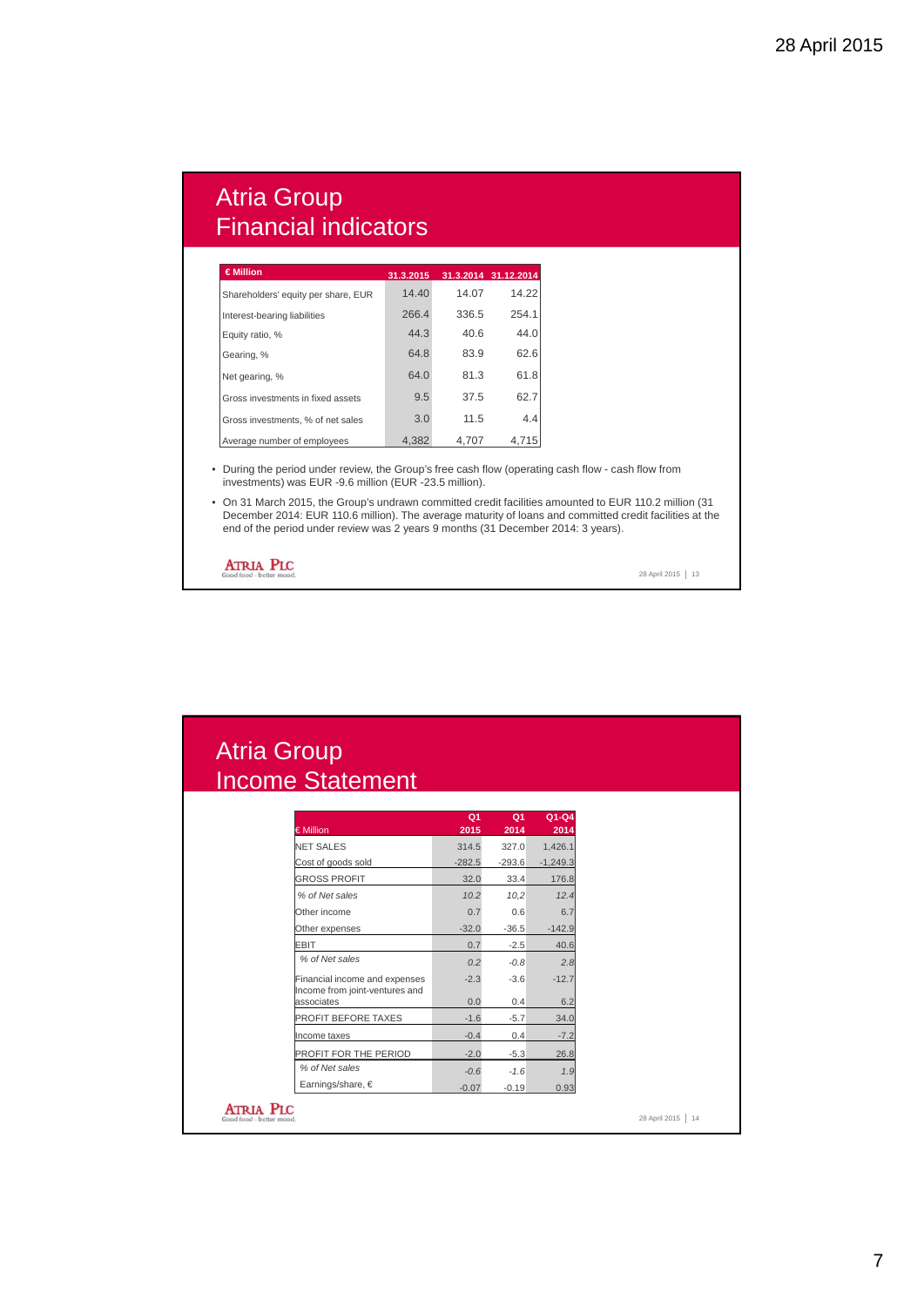# Atria Group Financial indicators

| €Million                            | 31.3.2015 |       | 31.3.2014 31.12.2014 |
|-------------------------------------|-----------|-------|----------------------|
| Shareholders' equity per share, EUR | 14.40     | 14.07 | 14.22                |
| Interest-bearing liabilities        | 266.4     | 336.5 | 254.1                |
| Equity ratio, %                     | 44.3      | 40.6  | 44.0                 |
| Gearing, %                          | 64.8      | 83.9  | 62.6                 |
| Net gearing, %                      | 64.0      | 81.3  | 61.8                 |
| Gross investments in fixed assets   | 9.5       | 37.5  | 62.7                 |
| Gross investments, % of net sales   | 3.0       | 11.5  | 4.4                  |
| Average number of employees         | 4,382     | 4.707 | 4.715                |

• During the period under review, the Group's free cash flow (operating cash flow - cash flow from investments) was EUR -9.6 million (EUR -23.5 million).

• On 31 March 2015, the Group's undrawn committed credit facilities amounted to EUR 110.2 million (31 December 2014: EUR 110.6 million). The average maturity of loans and committed credit facilities at the end of the period under review was 2 years 9 months (31 December 2014: 3 years).

**ATRIA PLC** 

28 April 2015 | 13

 $\vert$  14

# Atria Group Income Statement

| € Million                                    | Q <sub>1</sub><br>2015 | Q <sub>1</sub><br>2014 | $Q1-Q4$<br>2014 |
|----------------------------------------------|------------------------|------------------------|-----------------|
| <b>NET SALES</b>                             | 314.5                  | 327.0                  | 1,426.1         |
| Cost of goods sold                           | $-282.5$               | $-293.6$               | $-1,249.3$      |
| <b>GROSS PROFIT</b>                          | 32.0                   | 33.4                   | 176.8           |
| % of Net sales                               | 10.2                   | 10,2                   | 12.4            |
| Other income                                 | 0.7                    | 0.6                    | 6.7             |
| Other expenses                               | $-32.0$                | $-36.5$                | $-142.9$        |
| <b>EBIT</b>                                  | 0.7                    | $-2.5$                 | 40.6            |
| % of Net sales                               | 0.2                    | $-0.8$                 | 2.8             |
| Financial income and expenses                | $-2.3$                 | $-3.6$                 | $-12.7$         |
| Income from joint-ventures and<br>associates | 0.0                    | 0.4                    | 6.2             |
| PROFIT BEFORE TAXES                          | $-1.6$                 | $-5.7$                 | 34.0            |
| Income taxes                                 | $-0.4$                 | 0.4                    | $-7.2$          |
| PROFIT FOR THE PERIOD                        | $-2.0$                 | $-5.3$                 | 26.8            |
| % of Net sales                               | $-0.6$                 | $-1.6$                 | 1.9             |
|                                              | $-0.07$                | $-0.19$                | 0.93            |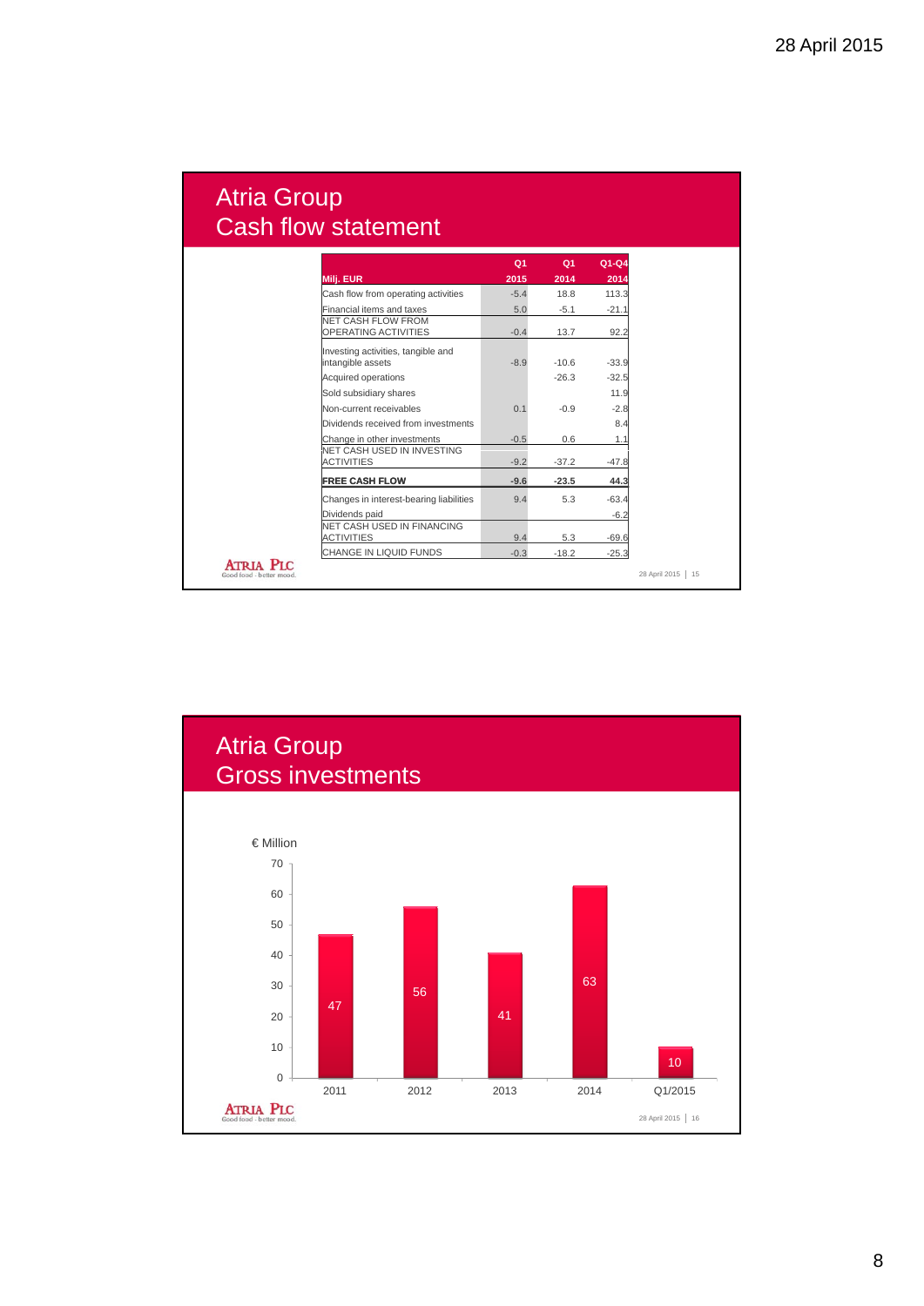# Atria Group Cash flow statement

|                                                         | Q <sub>1</sub> | Q <sub>1</sub> | $Q1-Q4$ |
|---------------------------------------------------------|----------------|----------------|---------|
| <b>Milj. EUR</b>                                        | 2015           | 2014           | 2014    |
| Cash flow from operating activities                     | $-5.4$         | 18.8           | 113.3   |
| Financial items and taxes                               | 5.0            | $-5.1$         | $-21.1$ |
| NET CASH FLOW FROM<br>OPERATING ACTIVITIES              | $-0.4$         | 13.7           | 92.2    |
| Investing activities, tangible and<br>intangible assets | $-8.9$         | $-10.6$        | $-33.9$ |
| Acquired operations                                     |                | $-26.3$        | $-32.5$ |
| Sold subsidiary shares                                  |                |                | 11.9    |
| Non-current receivables                                 | 0.1            | $-0.9$         | $-2.8$  |
| Dividends received from investments                     |                |                | 8.4     |
| Change in other investments                             | $-0.5$         | 0.6            | 1.1     |
| NET CASH USED IN INVESTING<br><b>ACTIVITIES</b>         | $-9.2$         | $-37.2$        | $-47.8$ |
| <b>FREE CASH FLOW</b>                                   | $-9.6$         | $-23.5$        | 44.3    |
| Changes in interest-bearing liabilities                 | 9.4            | 5.3            | $-63.4$ |
| Dividends paid                                          |                |                | $-6.2$  |
| NET CASH USED IN FINANCING<br><b>ACTIVITIES</b>         | 9.4            | 5.3            | $-69.6$ |
| CHANGE IN LIQUID FUNDS                                  | $-0.3$         | $-18.2$        | $-25.3$ |
| Good food - better mood                                 |                |                |         |

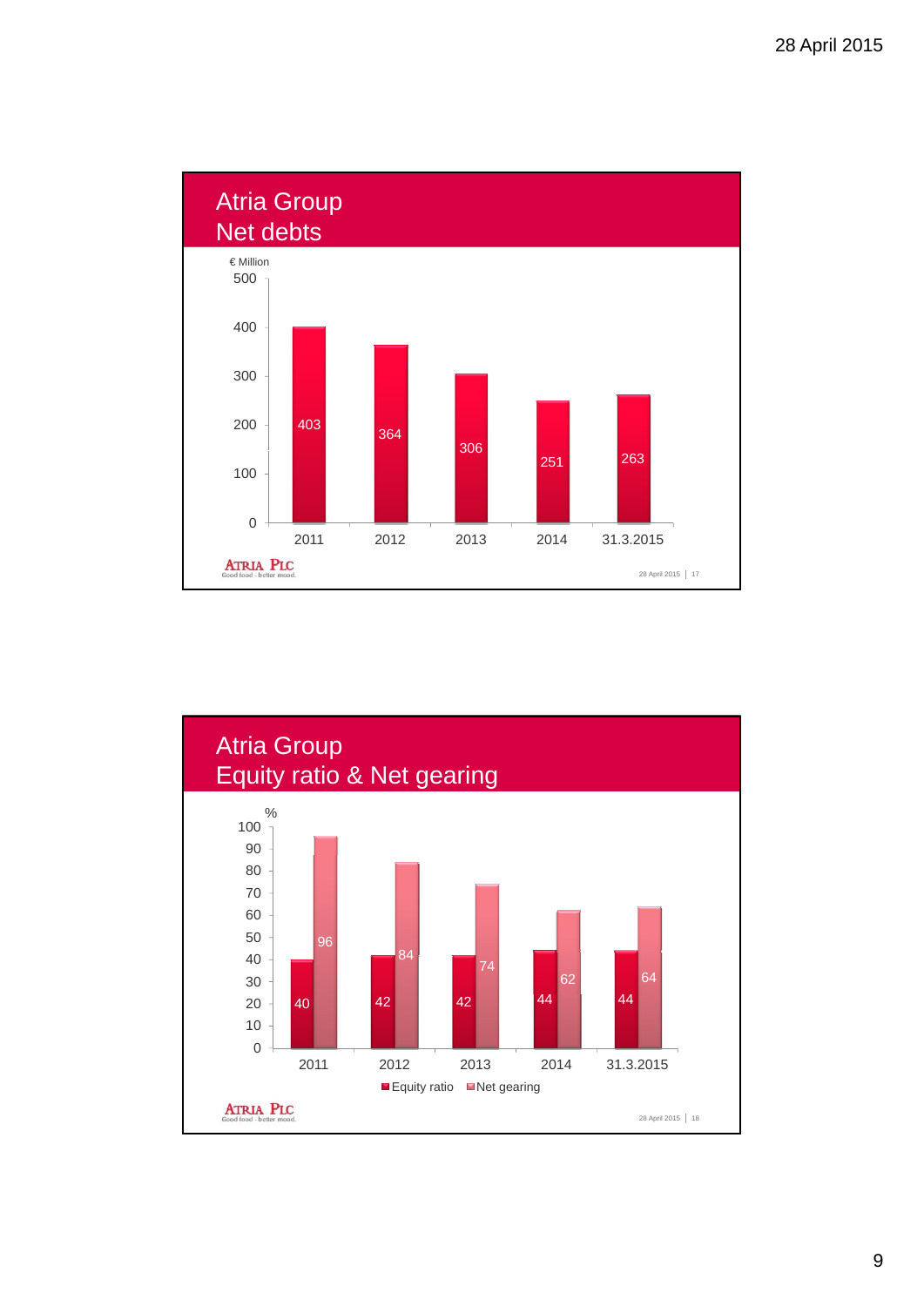

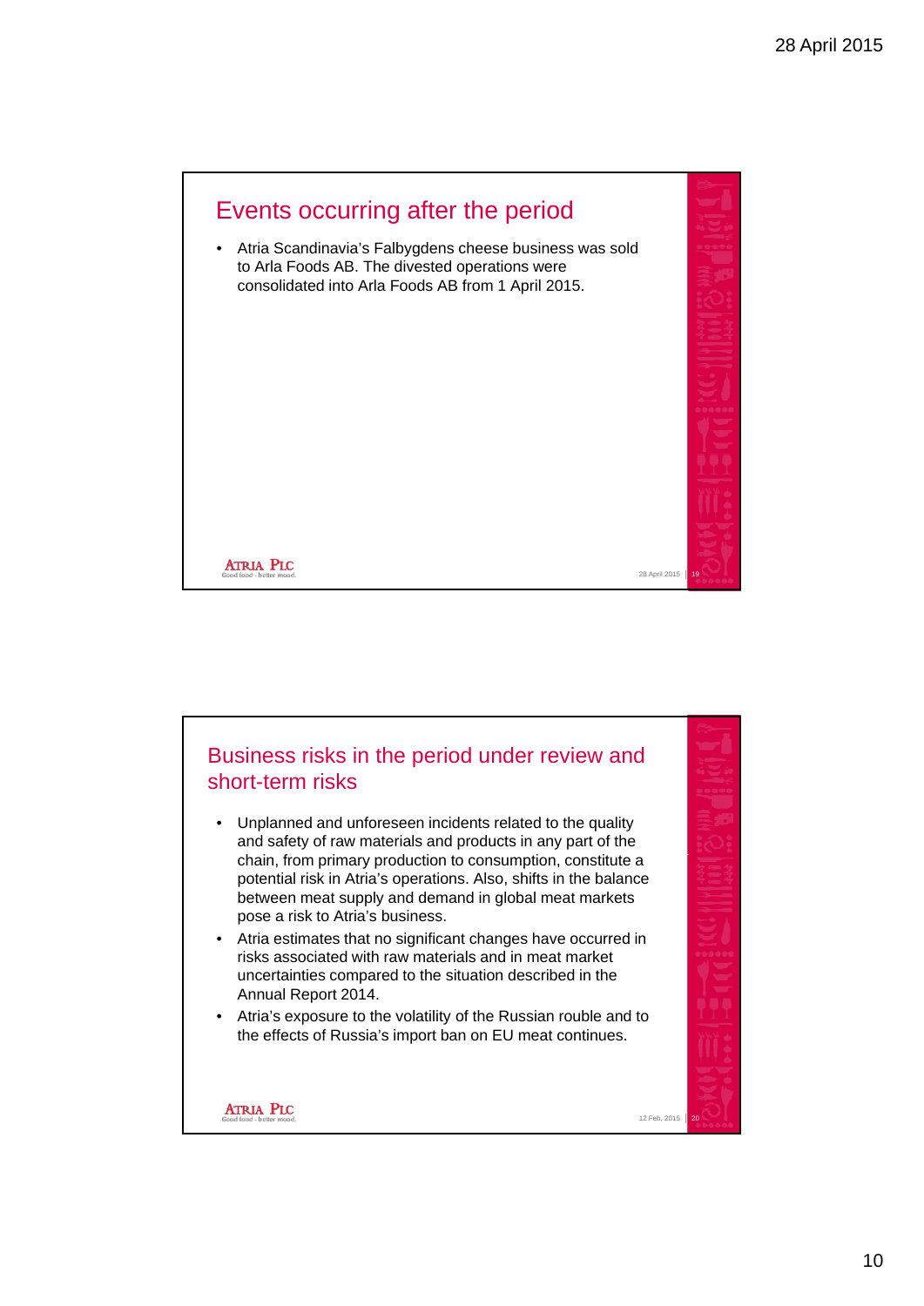

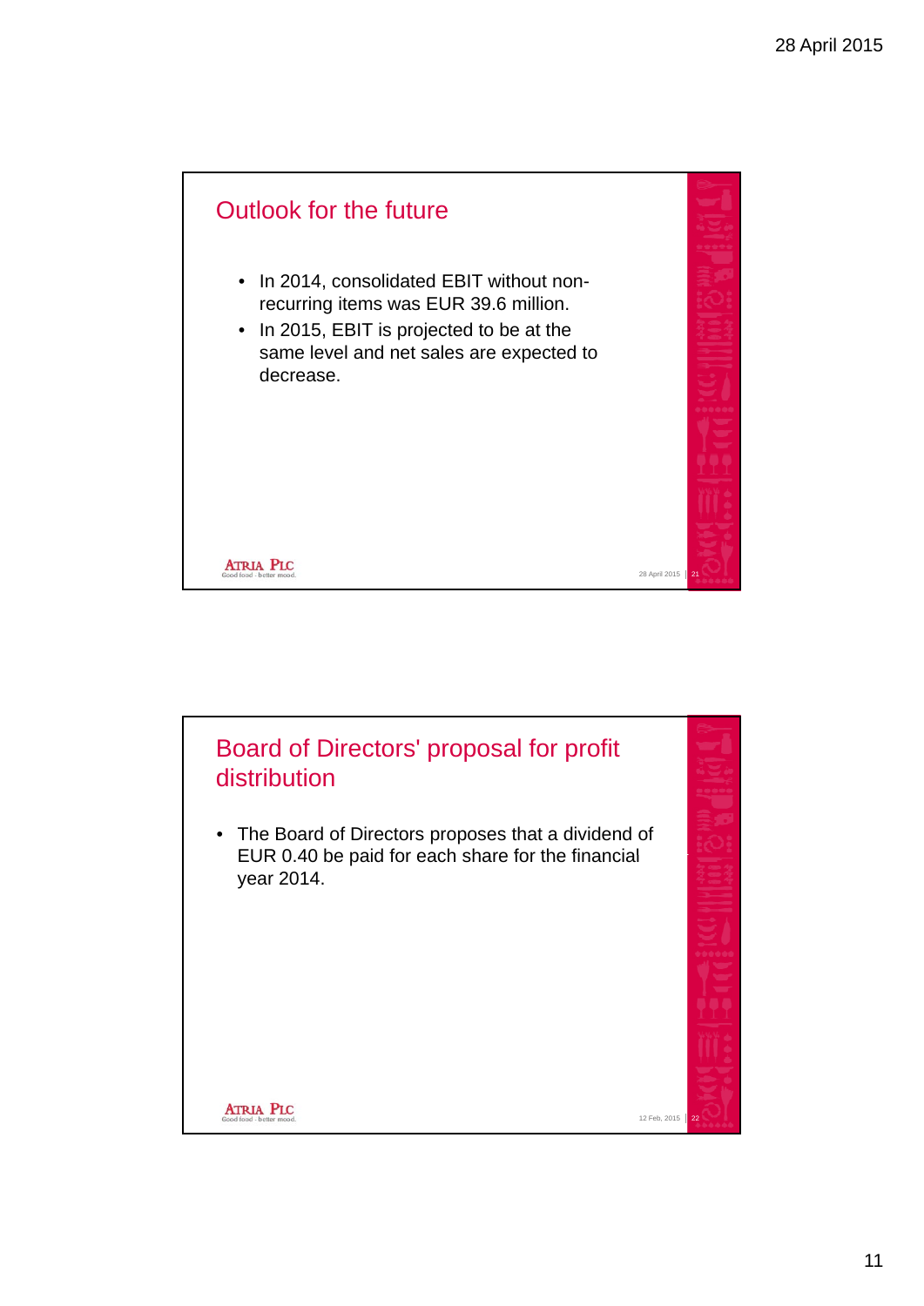